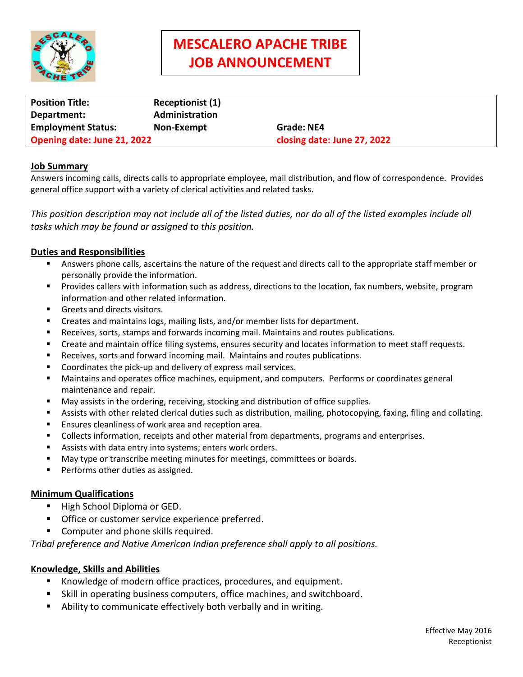

# **MESCALERO APACHE TRIBE JOB ANNOUNCEMENT**

| <b>Position Title:</b>      | <b>Receptionist (1)</b> |                             |
|-----------------------------|-------------------------|-----------------------------|
| Department:                 | Administration          |                             |
| <b>Employment Status:</b>   | Non-Exempt              | Grade: NE4                  |
| Opening date: June 21, 2022 |                         | closing date: June 27, 2022 |

### **Job Summary**

Answers incoming calls, directs calls to appropriate employee, mail distribution, and flow of correspondence. Provides general office support with a variety of clerical activities and related tasks.

*This position description may not include all of the listed duties, nor do all of the listed examples include all tasks which may be found or assigned to this position.*

### **Duties and Responsibilities**

- Answers phone calls, ascertains the nature of the request and directs call to the appropriate staff member or personally provide the information.
- **Provides callers with information such as address, directions to the location, fax numbers, website, program** information and other related information.
- Greets and directs visitors.
- Creates and maintains logs, mailing lists, and/or member lists for department.
- **Receives, sorts, stamps and forwards incoming mail. Maintains and routes publications.**
- Create and maintain office filing systems, ensures security and locates information to meet staff requests.
- Receives, sorts and forward incoming mail. Maintains and routes publications.
- Coordinates the pick-up and delivery of express mail services.
- Maintains and operates office machines, equipment, and computers. Performs or coordinates general maintenance and repair.
- May assists in the ordering, receiving, stocking and distribution of office supplies.
- Assists with other related clerical duties such as distribution, mailing, photocopying, faxing, filing and collating.
- Ensures cleanliness of work area and reception area.
- Collects information, receipts and other material from departments, programs and enterprises.
- Assists with data entry into systems; enters work orders.
- May type or transcribe meeting minutes for meetings, committees or boards.
- Performs other duties as assigned.

#### **Minimum Qualifications**

- **High School Diploma or GED.**
- Office or customer service experience preferred.
- **Computer and phone skills required.**

*Tribal preference and Native American Indian preference shall apply to all positions.*

# **Knowledge, Skills and Abilities**

- Knowledge of modern office practices, procedures, and equipment.
- Skill in operating business computers, office machines, and switchboard.
- Ability to communicate effectively both verbally and in writing.